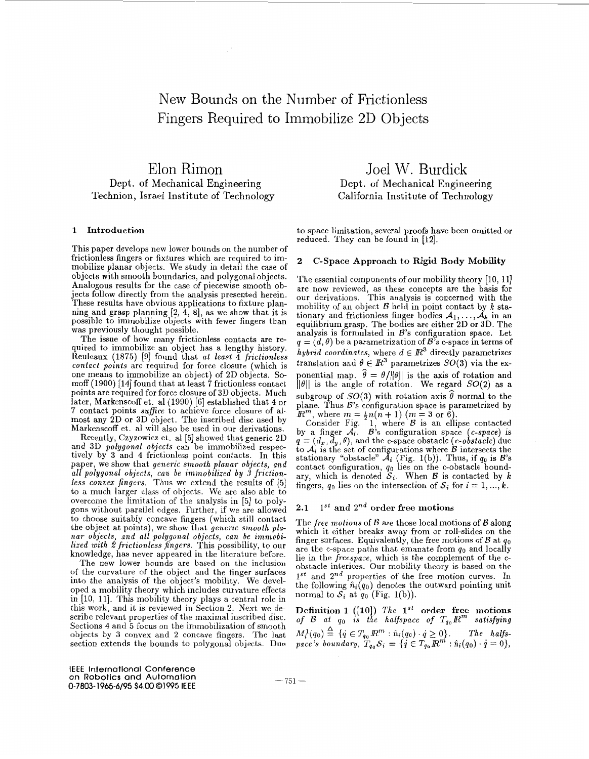# New Bounds on the Number of Frictionless Fingers Required to Immobilize 2D Objects

Elon Rimon Dept. of Mechanical Engineering Technion, Israel Institute of Technology

# 1 Introduction

This paper develops new lower bounds on the number of frictionless fingers or fixtures which are required to immobilize planar objects. We study in detail the case of objects with smooth boundaries, and polygonal objects. Analogous results for the case of piecewise smooth objects follow directly from the analysis presented herein. These results have obvious applications to fixture planning and grasp planning [2, **4,** 81, **as** we show that it is possible to immobilize objects with fewer fingers than was previously thought possible.<br>The issue of how many frictionless contacts are re-

quired to immobilize an object has a lengthy history. Reuleaux (1875) [9] found that *at least* 4 *frictionless contact points* are required for force closure (which is one means to immobilize an object) of 2D objects. Somoff (1900) [14] found that at least 7 frictionless contact points are required for force closure of 3D objects. Much later, Markenscoff et. al (1990) [6] established that 4 or most any 2D or 3D object. The inscribed disc used by Markenscoff et. al will also be used in our derivations. 7 contact points *suffice* to achieve force closure of al-

Recently, Czyzowicz et. al *[5]* showed that generic 2D and 3D *polygonal objects* can be immobilized respectively by 3 and **4** frictionless point contacts. In this paper, we show that *generic smooth planar objects, and all polygonal objects, can be ininiobilized by 3 frictionless convex fingers.* Thus we extend the results of [5] to a much larger class of objects. We are also able to overcome the limitation of the analysis in [5] to polygons without parallel edges. Further, if we are allowed to choose suitably concave fingers (which still contact the object at points), we show that *generic smooth planar objects, and all polygonal objects, can be irnmobilized with 2 frictionless fingers.* This possibility, to our knowledge, has never appeared in the literature before.

The new lower bounds are based on the inclusion of the curvature of the object and the finger surfaces into the analysis of the object's mobility. We developed a mobility theory which includes curvature effects in [lo, 111. This mobility theory plays a central role in this work, and it is reviewed in Section 2. Next we describe relevant properties of the maximal inscribed disc. Sections 4 and *5* focus on the immobilization of smooth objects by **3** convex and 2 concave fingers. The last section extends the bounds to polygonal objects. Due

Joel W. Burdick Dept. of Mechanical Engineering California Institute of Technology

to space limitation, several proofs have been omitted or reduced. They can be found in [12].

#### **2**  C-Space Approach to Rigid **Body** Mobiility

The essential components of our mobility theory **[IO,** 111 are now reviewed, as these concepts are the basis for our derivations. This analysis is concerned with the mobility of an object  $B$  held in point contact by  $k$  stationary and frictionless finger bodies  $A_1, \ldots, A_k$  in an equilibrium grasp. The bodies are either 2D or 3D. The analysis is formulated in *B*'s configuration space. Let  $q = (d, \theta)$  be a parametrization of *B*'s c-space in terms of *hybrid coordinates,* where  $d \in \mathbb{R}^3$  directly parametrizes translation and  $\theta \in \mathbb{R}^3$  parametrizes  $SO(3)$  via the exponential map.  $\hat{\theta} = \theta / ||\theta||$  is the axis of rotation and  $\|\theta\|$  is the angle of rotation. We regard  $SO(2)$  as a subgroup of  $SO(3)$  with rotation axis  $\hat{\theta}$  normal to the plane. Thus *B's* configuration space is parametrized by *Em,* where  $m = \frac{1}{2}n(n+1)$   $(m = 3 \text{ or } 6)$ .

Consider Fig.  $1$ , where  $\beta$  is an ellipse contacted by a finger  $\mathcal{A}_i$ .  $\mathcal{B}^s$  configuration space *(c-space)* is  $q = (d_x, d_y, \theta)$ , and the c-space obstacle *(c-obstacle)* due to  $A_i$  is the set of configurations where  $B$  intersects the stationary "obstacle"  $\mathcal{A}_i$  (Fig. 1(b)). Thus, if  $q_0$  is  $\mathcal{B}_s$ contact configuration, *qo* lies on the c-obstacle boundary, which is denoted  $S_i$ . When *B* is contacted by *k* fingers,  $q_0$  lies on the intersection of  $S_i$  for  $i = 1, ..., k$ .

# **2.1**  $1^{st}$  and  $2^{nd}$  order free motions

The *free motions* of *B* are those local motions of *B* along which it either breaks away from or roll-slides on the finger surfaces. Equivalently, the free motions of  $\beta$  at  $q_0$ are the c-space paths that emanate from **yo** and locally lie in the *freespace,* which is the complement of the cobstacle interiors. Our mobility theory is based on the  $1^{st}$  and  $2^{nd}$  properties of the free motion curves. In the following  $\hat{n}_i(q_0)$  denotes the outward pointing unit normal to  $S_i$  at  $q_0$  (Fig. 1(b)).

Definition 1 ([10])  $The 1^{st}$  order free motions *of B at*  $q_0$  *is the halfspace of*  $T_{q_0} \mathbb{R}^m$  *satisfying*  $M_i^1(q_0) \triangleq \{ \dot{q} \in T_{q_0} \, \mathbb{R}^m : \hat{n}_i(q_0) \cdot \dot{q} \ge 0 \}.$  The halfs*pace's boundary,*  $T_{q_0} S_i = \{ \dot{q} \in T_{q_0} \mathbb{R}^m : \hat{n}_i(q_0) \cdot \dot{q} = 0 \}$ **A** 

**IEEE International Conference on Robotics and Automation** - 751 - **0-7803-1965-6/95 \$4.00 01995 IEEE**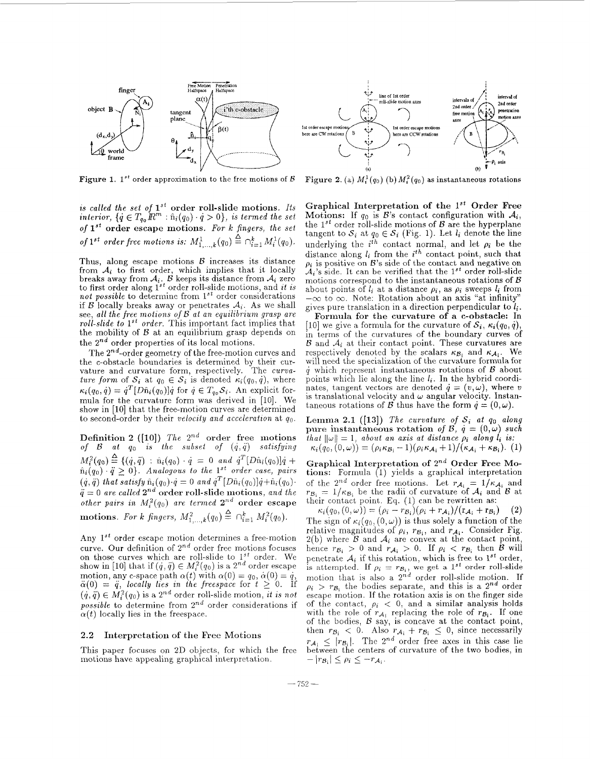

**Figure 1.** 1<sup>st</sup> order approximation to the free motions of  $\beta$ 

*is called the set of*  $1^{st}$  order roll-slide motions. Its *interior,*  $\{\dot{q} \in T_{q_0} \mathbb{R}^m : \hat{n}_i(q_0) \cdot \dot{q} > 0\}$ , *is termed the set of* **1" order escape motions.** *For k fingers, the set*   $of$   $1^{st}$  order free motions is:  $M^{1}_{1,...,k}(q_{0}) \stackrel{\Delta}{=} \cap_{i=1}^{k} M^{1}_{i}(q_{0}).$ 

Thus, along escape motions *B* increases its distance from  $A_i$  to first order, which implies that it locally breaks away from  $A_i$ .  $B$  keeps its distance from  $A_i$  zero to first order along 1<sup>st</sup> order roll-slide motions, and *it is* not possible to determine from 1<sup>st</sup> order considerations if *B* locally breaks away or penetrates  $A_i$ . As we shall see, *all the free motions of B at an equilibriuni grasp are roll-slide to*  $1^{st}$  *order.* This important fact implies that the mobility of  $B$  at an equilibrium grasp depends on the  $2^{nd}$  order properties of its local motions.

The  $2^{nd}$ -order geometry of the free-motion curves and the c-obstacle boundaries is determined by their cur- vature and curvature form, respectively. The *curuature form* of  $S_i$  at  $q_0 \in S_i$  is denoted  $\kappa_i(q_0, \dot{q})$ , where  $\kappa_i(q_0, \dot{q}) = \dot{q}^T[D\hat{n}_i(q_0)]\dot{q}$  for  $\dot{q} \in T_{q_0}S_i$ . An explicit formula for the curvature form was derived in [10]. We show in [lo] that the free-motion curves are determined to second-order by their *velocity and acceleration* at *qo.* 

**Definition 2** ([10]) *The*  $2^{nd}$  order free motions  $of$   $B$   $at$   $q_0$  is the subset of  $(\dot{q},\ddot{q})$  satisfying  $\hat{m}_i(q_0) \cdot \ddot{q} \geq 0$ . Analogous to the 1<sup>st</sup> order case, pairs  $(\dot{q}, \ddot{q})$  that satisfy  $\hat{n}_i(q_0) \cdot \dot{q} = 0$  and  $\dot{q}^T[D\hat{n}_i(q_0)]\dot{q} + \hat{n}_i(q_0) \cdot \dot{q}$ .  $= 0$  *are called*  $2^{nd}$  order roll-slide motions, *and the other pairs in*  $M_i^2(q_0)$  *are termed*  $2^{nd}$  order escape  $M_i^2(q_0) \stackrel{\Delta}{=} \{(\dot{q}, \ddot{q}) : \hat{n}_i(q_0) \cdot \dot{q} = 0 \text{ and } \dot{q}^T[D\hat{n}_i(q_0)]\dot{q} +$ **motions.** For k fingers,  $M_{1,...,k}^2(q_0) \stackrel{\Delta}{=} \bigcap_{i=1}^k M_i^2(q_0)$ .

Any 1<sup>st</sup> order escape motion determines a free-motion curve. Our definition of  $2^{nd}$  order free motions focuses on those curves which are roll-slide to  $1^{st}$  order. We show in [10] that if  $(\dot{q}, \ddot{q}) \in M_i^2(q_0)$  is a  $2^{nd}$  order escape motion, any c-space path  $\alpha(t)$  with  $\alpha(0) = q_0$ ,  $\dot{\alpha}(0) = \dot{q}$ ,  $\ddot{\alpha}(0) = \ddot{q}$ , locally lies in the freespace for  $t \geq 0$ . If  $(q, \ddot{q}) \in M_i^2(q_0)$  is a 2<sup>nd</sup> order roll-slide motion, *it is not possible* to determine from  $2^{nd}$  order considerations if  $\alpha(t)$  locally lies in the freespace.

#### 2.2 **Interpretation of the Free** Motions

This paper focuses on 2D objects, for which the free motions have appealing graphical interpretation.



Figure 2. (a)  $M_i^1(q_0)$  (b)  $M_i^2(q_0)$  as instantaneous rotations

Graphical Interpretation of the 1<sup>st</sup> Order Free **Motions:** If  $q_0$  is  $\mathcal{B}$ 's contact configuration with  $\mathcal{A}_i$ , the  $1^{st}$  order roll-slide motions of  $B$  are the hyperplane tangent to  $S_i$  at  $q_0 \in S_i$  (Fig. 1). Let  $l_i$  denote the line underlying the  $i^{th}$  contact normal, and let  $\rho_i$  be the distance along *li* from the *ith* contact point, such that  $\rho_i$  is positive on  $B$ 's side of the contact and negative on  $A_i$ 's side. It can be verified that the  $1^{st}$  order roll-slide motions correspond to the instantaneous rotations of *B*  about points of  $l_i$  at a distance  $\rho_i$ , as  $\rho_i$  sweeps  $l_i$  from  $-\infty$  to  $\infty$ . Note: Rotation about an axis "at infinity" gives pure translation in a direction perpendicular to *li.* 

**Formula for the curvature of a c-obstacle:** In [10] we give a formula for the curvature of  $S_i$ ,  $\kappa_i(q_0, \dot{q})$ , in terms of the curvatures of the boundary curves of  $B$  and  $A_i$  at their contact point. These curvatures are respectively denoted by the scalars  $\kappa_{\mathcal{B}_i}$  and  $\kappa_{\mathcal{A}_i}$ . We will need the specialization of the curvature formula for  $\dot{q}$  which represent instantaneous rotations of  $\beta$  about points which lie along the line *I;.* In the hybrid coordinates, tangent vectors are denoted  $\dot{q} = (v,\omega)$ , where v is translational velocity and  $\omega$  angular velocity. Instantaneous rotations of *B* thus have the form  $\dot{q} = (0, \omega)$ .

**Lemma 2.1** ([13]) *The curvature of*  $S_i$  *at*  $q_0$  *along* pure instantaneous rotation of  $\beta$ ,  $q = (0, \omega)$  such *that*  $\|\omega\| = 1$ , *about an axis at distance*  $\rho_i$  *along*  $l_i$  *is:*  $\kappa_i(q_0, (0,\omega)) = (\rho_i \kappa_{\mathcal{B}_i} - 1)(\rho_i \kappa_{\mathcal{A}_i} + 1)/(\kappa_{\mathcal{A}_i} + \kappa_{\mathcal{B}_i}).$  (1)

**Graphical Interpretation of** *2nd* **Order Free** Mo**tions:** Formula (1) yields a graphical interpretation of the 2<sup>nd</sup> order free motions. Let  $r_{A_i} = 1/\kappa_{A_i}$  and  $r_{B_i} = 1/\kappa_{B_i}$  be the radii of curvature of  $A_i$  and *B* at

their contact point. Eq. (1) can be rewritten as:<br>  $\kappa_i(q_0, (0, \omega)) = (\rho_i - r_{\mathcal{B}_i})(\rho_i + r_{\mathcal{A}_i})/(r_{\mathcal{A}_i} + r_{\mathcal{B}_i})$  (2) The sign of  $\kappa_i(q_0, (0, \omega))$  is thus solely a function of the relative magnitudes of  $\rho_i$ ,  $r_{\mathcal{B}_i}$ , and  $r_{\mathcal{A}_i}$ . Consider Fig. 2(b) where *B* and  $A_i$  are convex at the contact point, hence  $r_{B_i} > 0$  and  $r_{A_i} > 0$ . If  $\rho_i < r_{B_i}$  then *B* will penetrate  $A_i$  if this rotation, which is free to  $1^{st}$  order, is attempted. If  $\rho_i = r_{\mathcal{B}_i}$ , we get a 1<sup>st</sup> order roll-slide motion that is also a  $2^{nd}$  order roll-slide motion. If  $\rho_i$  >  $r_{\mathcal{B}_i}$  the bodies separate, and this is a 2<sup>nd</sup> order escape motion. If the rotation axis is on the finger side of the contact,  $\rho_i$  < 0, and a similar analysis holds with the role of  $r_{A_i}$  replacing the role of  $r_{B_i}$ . If one of the bodies, **B** say, is concave at the contact point, then  $r_{\mathcal{B}_i} < 0$ . Also  $r_{\mathcal{A}_i} + r_{\mathcal{B}_i} \leq 0$ , since necessarily  $r_{\mathcal{A}_1} \leq |r_{\mathcal{B}_1}|$ . The 2<sup>nd</sup> order free axes in this case lie between the centers of curvature of the two bodies, in  $-|r_{\mathcal{B}_i}| \leq \rho_i \leq -r_{\mathcal{A}_i}.$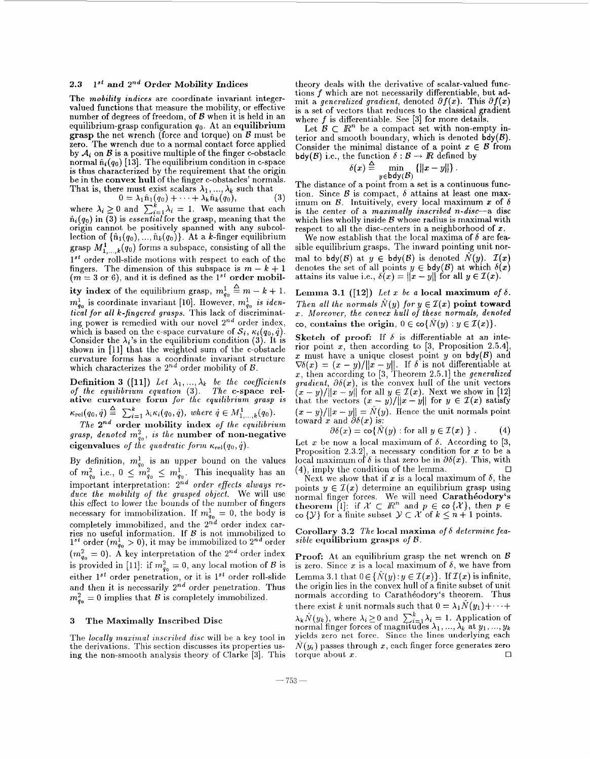#### **2.3 1" and** *Znd* **Order Mobility Indices**

The *mobility indices* are coordinate invariant integervalued functions that measure the mobility, or effective number of degrees of freedom, of *B* when it is held in an equilibrium-grasp configuration  $q_0$ . At an equilibrium **grasp** the net wrench (force and torque) on  $\mathcal{B}$  must be zero. The wrench due to a normal contact force applied by  $A_i$  on  $B$  is a positive multiple of the finger c-obstacle normal  $\hat{n}_i(q_0)$  [13]. The equilibrium condition in c-space is thus characterized by the requirement that the origin be in the **convex hull** of the finger c-obstacles' normals. That is, there must exist scalars  $\lambda_1, ..., \lambda_k$  such that

 $0 = \lambda_1 \hat{n}_1(q_0) + \cdots + \lambda_k \hat{n}_k(q_0),$ 

where  $\lambda_i \geq 0$  and  $\sum_{i=1}^k \lambda_i = 1$ . We assume that each  $\hat{n}_i(q_0)$  in  $\overline{3}$ ) is *essential* for the grasp, meaning that the origin cannot be positively spanned with any subcollection of  $\{\hat{n}_1(q_0), \dots, \hat{n}_k(q_0)\}\)$ . At a k-finger equilibrium grasp  $M^1_{1,\,\dots,\,k}(q_0)$  forms a subspace, consisting of all the  $1^{st}$  order roll-slide motions with respect to each of the  $1^{st}$  order roll-slide motions with respect to each of the fingers. The dimension of this subspace is  $m - k + 1$   $(m = 3 \text{ or } 6)$ , and it is defined as the  $1^{st}$  order mobil**ity index** of the equilibrium grasp,  $m_{q_0}^1 \triangleq m - k + 1$ .  $m_{g_0}^1$  is coordinate invariant [10]. However,  $m_{g_0}^1$  is iden*tical for all k-fingered grasps.* This lack of discriminating power is remedied with our novel **2nd** order index, which is based on the c-space curvature of  $S_i$ ,  $\kappa_i(q_0, \dot{q})$ . Consider the  $\lambda_i$ 's in the equilibrium condition (3). It is shown in [ll] that the weighted sum of the c-obstacle curvature forms has a coordinate invariant structure which characterizes the  $2^{nd}$  order mobility of  $\mathcal{B}$ .

**Definition 3 ([11])** Let  $\lambda_1, ..., \lambda_k$  be the coefficients *of the equilibrium equation* **(3).** *The* **c-space relative curvature form** *for the equilibrium grasp is*   $\kappa_{rel}(q_0, \dot{q}) \triangleq \sum_{i=1}^k \lambda_i \kappa_i(q_0, \dot{q}), \text{ where } \dot{q} \in M^1_{1,\ldots,k}(q_0).$ 

*The* **2nd order mobility index** *of the equilibrium*   $grasp, denoted m_{q_0}^2$ , is the **number of non-negative** eigenvalues of the quadratic form  $\kappa_{rel}(q_0, \dot{q})$ .

By definition,  $m_{q_0}^1$  is an upper bound on the values of  $m_{g_0}^2$  i.e.,  $0 \leq m_{g_0}^2 \leq m_{g_0}^1$ . This inequality has an important interpretation: 2nd *order effects always reduce the mobility* of *the grasped object.* We will use this effect to lower the bounds of the number of fingers necessary for immobilization. If  $m_{q_0}^1 = 0$ , the body is completely immobilized, and the **2nd** order index carries no useful information. If *8* is not immobilized to  $1^{st}$  order  $(m_{g_0}^1 > 0)$ , it may be immobilized to  $2^{nd}$  order  $(m_{q_0}^2 = 0)$ . A key interpretation of the  $2^{nd}$  order index is provided in [11]: if  $m_{g_0}^2 = 0$ , any local motion of *B* is either  $1^{st}$  order penetration, or it is  $1^{st}$  order roll-slide and then it is necessarily *Znd* order penetration. Thus  $m_{q_0}^2 = 0$  implies that *B* is completely immobilized.

### **3 The Maximally Inscribed Disc**

The *locally maximal inscribed disc* will be a key tool in the derivations. This section discusses its properties using the non-smooth analysis theory of Clarke **[3].** This theory deals with the derivative of scalar-valued functions *f* which are not necessarily differentiable, but admit a *generalized gradient*, denoted  $\partial f(x)$ . This  $\partial f(x)$ is a set of vectors that reduces to the classical gradient where *f* is differentiable. See [3] for more details.

Let  $\mathcal{B} \subset \mathbb{R}^n$  be a compact set with non-empty interior and smooth boundary, which is denoted  $\mathsf{bdy}(\mathcal{B})$ . Consider the minimal distance of a point  $x \in B$  from  $\mathsf{bdy}(\mathcal{B})$  i.e., the function  $\delta : \mathcal{B} \to \mathbb{R}$  defined by

$$
S(x) \stackrel{\Delta}{=} \min_{y \in bdy(\mathcal{B})} \left\{ ||x - y|| \right\}.
$$

The distance of a point from a set is a continuous function. Since  $B$  is compact,  $\delta$  attains at least one maximum on  $\beta$ . Intuitively, every local maximum x of  $\delta$ is the center of a *maximally inscribed n-disc--a* disc which lies wholly inside *B* whose radius is maximal with respect to all the disc-centers in a neighborhood of  $x$ .

We now establish that the local maxima of  $\delta$  are feasible equilibrium grasps. The inward pointing unit normal to bdy(B) at  $y \in bdy(B)$  is denoted  $\tilde{N}(y)$ .  $\mathcal{I}(x)$ denotes the set of all points  $y \in bdy(\mathcal{B})$  at which  $\delta(x)$  attains its value i.e.,  $\delta(x) = ||x - y||$  for all  $y \in \mathcal{I}(x)$ .

**Lemma 3.1** ([12]) Let x be a local maximum of  $\delta$ . *Then all the normals*  $\hat{N}(y)$  *for*  $y \in \mathcal{I}(x)$  **point toward** z. *Moreover, the convex hull of these normals, denoted*   $\text{co, contains the origin, } 0 \in \text{co}\{\hat{N}(y) : y \in \mathcal{I}(x)\}.$ 

**Sketch of proof:** If  $\delta$  is differentiable at an interior point z, then according to *[3,* Proposition **2.5.41,**   $x$  must have a unique closest point  $y$  on  $\text{bdy}(\mathcal{B})$  and x must have a unique closest point y on  $\text{bdy}(B)$  and  $\nabla \delta(x) = (x - y)/||x - y||$ . If  $\delta$  is not differentiable at x, then according to [3, Theorem 2.5.1] the *generalized gradient,*  $\partial \delta(x)$ *, is the convex hull of the unit vectors gradient,*  $\partial \delta(x)$ *, is the convex hull of the unit vectors*  $(x - y)/||x - y||$  for all  $y \in I(x)$ . Next we show in [12]  $\tilde{x} - y$ / $||x - y||$  for all  $y \in \mathcal{I}(x)$ . Next we show in [12] that the vectors  $(x - y)/||x - y||$  for  $y \in \mathcal{I}(x)$  satisfy that the vectors  $(x - y)/||x - y||$  for  $y \in L(x)$  satisfy  $(x - y)/||x - y|| = \hat{N}(y)$ . Hence the unit normals point toward x and  $\partial \delta(x)$  is:

$$
\partial \delta(x) = \text{co}\{\hat{N}(y) : \text{for all } y \in \mathcal{I}(x) \} . \tag{4}
$$

Let x be now a local maximum of  $\delta$ . According to [3, Proposition 2.3.2], a necessary condition for x to be a local maximum of  $\delta$  is that zero be in  $\partial \delta(x)$ . This, with *0*  (4), imply the condition of the lemma.

Next we show that if  $x$  is a local maximum of  $\delta$ , the points  $y \in \mathcal{I}(x)$  determine an equilibrium grasp using normal finger forces. We will need **Caratheodory's**<br> **theorem** [1]: if  $\mathcal{X} \subset \mathbb{R}^n$  and  $p \in \infty \{ \mathcal{X} \}$ , then  $p \in$ co  $\{y\}$  for a finite subset  $y \subset \mathcal{X}$  of  $k \leq n+1$  points.

**Corollary 3.2** *The* **local maxima** *of* 6 *determine feasible* **equilibrium grasps** *of B.* 

**Proof:** At an equilibrium grasp the net wrench on *8*  is zero. Since x is a local maximum of  $\delta$ , we have from Lemma 3.1 that  $0 \in \{N(y): y \in \mathcal{I}(x)\}\$ . If  $\mathcal{I}(x)$  is infinite, the origin lies in the convex hull of a finite subset of unit normals according to Carathéodory's theorem. Thus there exist *k* unit normals such that  $0 = \lambda_1 N(y_1) + \cdots$  $\lambda_k \hat{N}(y_k)$ , where  $\lambda_i \geq 0$  and  $\sum_{i=1}^k \lambda_i = 1$ . Application of normal finger forces of magnitudes  $\lambda_1, ..., \lambda_k$  at  $y_1, ..., y_k$ yields zero net force. Since the lines underlying each  $\hat{N}(y_i)$  passes through *x*, each finger force generates zero *k*  torque about  $x$ .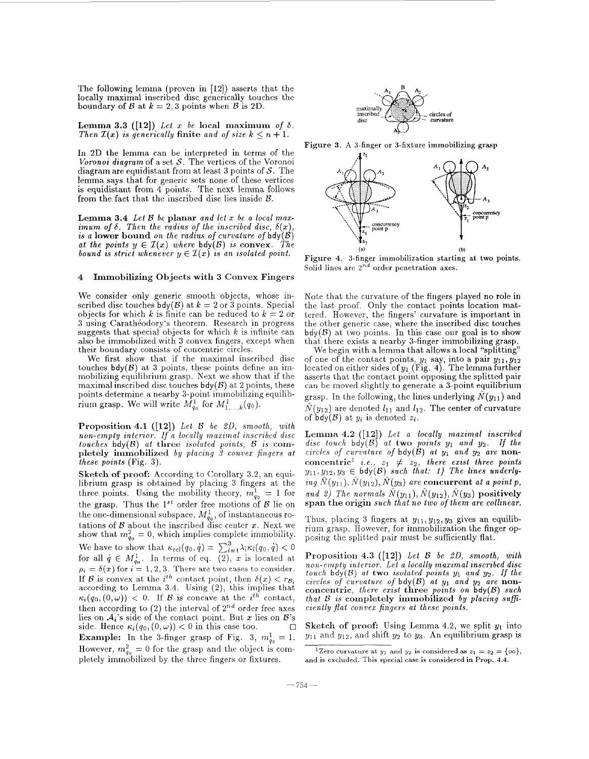The following lemma (proven in [12]) asserts that the locally maximal inscribed disc generically touches the boundary of *B* at  $k = 2,3$  points when *B* is 2D.

Lemma 3.3 ([12]) Let  $x$  be local maximum of  $\delta$ . *Then*  $\mathcal{I}(x)$  *is generically finite and of size*  $k \leq n+1$ .

In 2D the lemma can be interpreted in terms of the *Voronoi diagram* of a set *S.* The vertices of the Voronoi diagram are equidistant from at least **3** points of S. The lemma says that for generic sets none of these vertices is equidistant from 4 points. The next lemma follows from the fact that the inscribed disc lies inside  $\beta$ .

**Lemma 3.4** *Let B be planar and let x be a local max-imum of*  $\delta$ *. Then the radius of the inscribed disc,*  $\delta(x)$ *,* is a **lower** bound on the radius of curvature of  $\mathsf{bdy}(\mathcal{B})$ *at the points*  $y \in I(x)$  *where*  $\text{bdy}(\mathcal{B})$  *is convex. The bound is strict whenever*  $y \in I(x)$  *is an isolated point.* 

# 4 Immobilizing Objects with **3** Convex Fingers

We consider only generic smooth objects, whose inscribed disc touches  $\text{bdy}(\mathcal{B})$  at  $k = 2$  or 3 points. Special objects for which *k* is finite can be reduced to  $k = 2$  or 3 using Carathéodory's theorem. Research in progress suggests that special objects for which  $k$  is infinite can also be immobilized with 3 convex fingers, except when their boundary consists of concentric circles.

We first show that if the maximal inscribed disc touches  $\mathsf{bdy}(\mathcal{B})$  at 3 points, these points define an immobilizing equilibrium grasp. Next we show that if the maximal inscribed disc touches  $\mathsf{bdy}(\mathcal{B})$  at 2 points, these points determine a nearby 3-point immobilizing equilibrium grasp. We will write  $M_{q_0}^1$  for  $M_{1,\dots,k}^1(q_0)$ .

Proposition **4.1 ([12])** *Let* **t3** *be ZD, smooth, with non-empty interior. If a locally maximal inscribed disc <i>touches bdy*(*B*) *at three isolated points, B is com*pletely immobilized by placing 3 convex fingers at *these points* (Fig. *3).* 

**Sketch of proof:** According to Corollary 3.2, an equilibrium grasp is obtained by placing 3 fingers at the three points. Using the mobility theory,  $m_{q_0}^1 = 1$  for the grasp. Thus the  $1^{st}$  order free motions of  $\beta$  lie on the one-dimensional subspace,  $M_{q_0}^1$ , of instantaneous rotations of *B* about the inscribed disc center *x*. Next we show that  $m_{g_0}^2 = 0$ , which implies complete immobility. We have to show that  $\kappa_{rel}(q_0, \dot{q}) = \sum_{i=1}^{3} \lambda_i \kappa_i(q_0, \dot{q}) < 0$ for all  $q \in M_{q_0}^1$ . In terms of eq. (2), *x* is located at  $\rho_i = \delta(x)$  for  $i = 1, 2, 3$ . There are two cases to consider. If *B* is convex at the *i*<sup>th</sup> contact point, then  $\delta(x) < r_{\mathcal{B}_i}$ according to Lemma 3.4. Using (2), this implies that  $\kappa_i(q_0,(0,\omega))$  < 0. If *B* is concave at the *i*<sup>th</sup> contact, then according to  $(2)$  the interval of  $2^{nd}$  order free axes lies on  $A_i$ 's side of the contact point. But *x* lies on  $B$ 's side. Hence  $\kappa_i(q_0, (0, \omega)) < 0$  in this case too. **Example:** In the 3-finger grasp of Fig. 3,  $m_{q_0}^1 = 1$ .

However,  $m_{q_0}^2 = 0$  for the grasp and the object is completely immobilized by the three fingers or fixtures.



Figure **3.** A 3-finger or 3-fixture immobilizing **grasp** 



**(a) (b)**  Figure **4.** 3-finger immobilization starting at **two points.**  Solid lines are *Znd* order penetration axes.

Note that the curvature of the fingers played no role in the last proof. Only the contact points location mattered. However, the fingers' curvature is important in the other generic case, where the inscribed disc touches  $bdy(\mathcal{B})$  at two points. In this case our goal is to show that there exists a nearby 3-finger immobilizing grasp.

We begin with a lemma that allows a local "splitting" of one of the contact points,  $y_1$  say, into a pair  $y_{11}, y_{12}$ located on either sides of y1 (Fig. **4).** The lemma further asserts that the contact point opposing the splitted pair can be moved slightly to generate a 3-point equilibrium grasp. In the following, the lines underlying  $N(y_{11})$  and  $\hat{N}(y_{12})$  are denoted  $l_{11}$  and  $l_{12}$ . The center of curvature of  $\overline{bdy}(\mathcal{B})$  at  $y_i$  is denoted  $z_i$ .

Lemma 4.2 ([12]) *Let a locally maximal inscribed*  $disc$  *touch*  $bdy(B)'$  *at* **two** *points*  $y_1$  *and*  $y_2$ . If the *circles of curvature of bdy(B) at*  $y_1$  *and*  $y_2$  *are non*concentric<sup>1</sup> *i.e.*,  $z_1 \neq z_2$ , *there exist three points*  $y_{11},y_{12},y_3 \in \text{bdy}(\mathcal{B})$  such that: 1) The lines underly- $\hat{N}(y_{11}), \hat{N}(y_{12}), \hat{N}(y_3)$  *are* **concurrent** *at a point p,* and 2) The normals  $\hat{N}(y_{11}), \hat{N}(y_{12}), \hat{N}(y_3)$  positively span the origin *such that no two of them are collinear.* 

Thus, placing 3 fingers at  $y_{11}, y_{12}, y_3$  gives an equilibrium grasp. However, for immobilization the finger opposing the splitted pair must be sufficiently flat.

Proposition 4.3 ([12]) *Let B be LD, smooth, with non-empty interior. Let a locally maximal inscribed disc*   $t$ *ouch*  $\mathsf{bdy}(\mathcal{B})$  *at* **two** *isolated points*  $y_1$  *and*  $y_2$ *. If the circles of curvature of* bdy(B) *at* **y1** *and* y2 *are* nonconcentric, *there exist* three *points on* bdy(B) *such that 8 is* completely immobilized *by placing SUBciently flat convex Jingers at these points.* 

Sketch of proof: Using Lemma 4.2, we split  $y_1$  into  $y_{11}$  and  $y_{12}$ , and shift  $y_2$  to  $y_3$ . An equilibrium grasp is

<sup>&</sup>lt;sup>1</sup>Zero curvature at  $y_1$  and  $y_2$  is considered as  $z_1 = z_2 = {\infty}$ , and is excluded. This special case is considered in Prop. 4.4.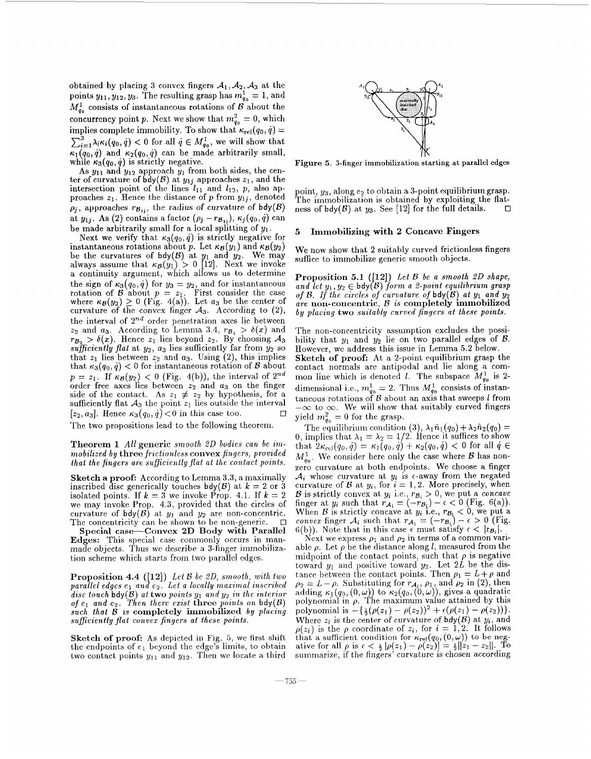obtained by placing 3 convex fingers  $A_1$ ,  $A_2$ ,  $A_3$  at the points  $y_{11}$ ,  $y_{12}$ ,  $y_3$ . The resulting grasp has  $m_{q_0}^1 = 1$ , and  $M_{q_0}^1$  consists of instantaneous rotations of B about the concurrency point *p*. Next we show that  $m_{q_0}^2 = 0$ , which implies complete immobility. To show that  $\kappa_{rel}(q_0, \dot{q}) =$  $\sum_{i=1}^{3} \lambda_i \kappa_i(q_0, \dot{q}) < 0$  for all  $\dot{q} \in M_{q_0}^1$ , we will show that  $\kappa_1(q_0,\dot{q})$  and  $\kappa_2(q_0,\dot{q})$  can be made arbitrarily small,

while  $\kappa_3(q_0, \dot{q})$  is strictly negative.<br>As  $y_{11}$  and  $y_{12}$  approach  $y_1$  from both sides, the center of curvature of  $\overline{bdy}(\mathcal{B})$  at  $y_{1j}$  approaches  $z_1$ , and the intersection point of the lines  $l_{11}$  and  $l_{12}$ ,  $p$ , also approaches  $z_1$ . Hence the distance of *p* from  $y_{1j}$ , denoted  $\rho_j$ , approaches  $r_{\mathcal{B}_{1j}}$ , the radius of curvature of bdy(B) at  $y_{1j}$ . As (2) contains a factor  $(\rho_j - r_{B_{1i}}), \kappa_j(q_0, \dot{q})$  can be made arbitrarily small for a local splitting of  $y_1$ .

Next we verify that  $\kappa_3(q_0, \dot{q})$  is strictly negative for instantaneous rotations about  $p$ . Let  $\kappa_{\mathcal{B}}(y_1)$  and  $\kappa_{\mathcal{B}}(y_2)$ be the curvatures of  $\text{bdy}(\mathcal{B})$  at  $y_1$  and  $y_2$ . We may always assume that  $\kappa_{\mathcal{B}}(y_1) > 0$  [12]. Next we invoke a continuity argument, which allows us to determine the sign of  $\kappa_3(q_0, \dot{q})$  for  $y_3 = y_2$ , and for instantaneous rotation of *B* about  $p = z_1$ . First consider the case where  $\kappa_B(y_2) \ge 0$  (Fig. 4(a)). Let *a<sub>3</sub>* be the center of curvature of the convex finger  $A_3$ . According to  $(2)$ , the interval of  $2^{nd}$  order penetration axes lie between  $z_2$  and  $a_3$ . According to Lemma 3.4,  $r_{\mathcal{B}_1} > \delta(x)$  and  $r_{B_2} > \delta(x)$ . Hence  $z_1$  lies beyond  $z_2$ . By choosing  $\mathcal{A}_3$  $sufficiently\ flat\ at\ y_2, a_3$  lies sufficiently far from  $y_2$  so that  $z_1$  lies between  $z_2$  and  $a_3$ . Using  $(2)$ , this implies that  $\kappa_3(q_0, \dot{q}) < 0$  for instantaneous rotation of *B* about  $p = z_1$ . If  $\kappa_{\mathcal{B}}(y_2) < 0$  (Fig. 4(b)), the interval of  $2^{nd}$ order free axes lies between *z2* and *u3* on the finger side of the contact. As  $z_1 \neq z_2$  by hypothesis, for a sufficiently flat  $A_3$  the point  $z_1$  lies outside the interval  $\Box$ [ $z_2$ ,  $a_3$ ]. Hence  $\kappa_3(q_0, \dot{q}) < 0$  in this case too.

The two propositions lead to the following theorem.

**Theorem 1** *All* **generic** *smooth 2D bodies can be immobilized by* three *frictionless* **convex** *fingers, provided that the fingers are suficiently fiat ut the contact points.* 

**Sketch a proof:** According to Lemma 3.3, a maximally inscribed disc generically touches bdy(B) at  $k = 2$  or 3 isolated points. If  $k = 3$  we invoke Prop. 4.1. If  $k = 2$ we may invoke Prop. 4.3, provided that the circles of curvature of  $\text{bdy}(\mathcal{B})$  at  $y_1$  and  $y_2$  are non-concentric.  $\Box$ <br>The concentricity can be shown to be non-generic.  $\Box$ 

**Special case-Convex 2D Body with Parallel Edges:** This special case commonly occurs in man- made objects. Thus we describe a 3-finger immobilization scheme which starts from two parallel edges.

**Proposition 4.4 ([12])** *Let B be 2D, smooth, with two parallel edges*  $e_1$  *and*  $e_2$ *. Let a locally maximal inscribed*  $\overline{dist}$  *disc touch*  $\overline{b}dy(B)$  *at* two *points*  $y_1$  *and*  $y_2$  *in the interior*  $\sigma f$   $e_1$  and  $e_2$ . Then there exist **three** *points* on  $\text{bdy}(B)$  $such$  that  $\overline{B}$  is completely immobilized by placing *suficiently flat convex fingers at these points.* 

**Sketch of proof: As** depicted in Fig. 5, we first shift the endpoints of  $e_1$  beyond the edge's limits, to obtain two contact points  $y_{11}$  and  $y_{12}$ . Then we locate a third



**Figure 5. 3-finger immobilization starting at parallel edges** 

point,  $y_3$ , along  $e_2$  to obtain a 3-point equilibrium grasp. The immobilization is obtained by exploiting the flat-<br>ness of bdy(B) at us. See [12] for the full details. ness of  $\text{bdy}(\mathcal{B})$  at  $y_3$ . See [12] for the full details.

#### *5*  **Immobilizing with 2 Concave Fingers**

We now show that 2 suitably curved frictionless fingers suffice to immobilize generic smooth objects.

**Proposition 5.1** ( **121)** *Lei B be a smooth 20 shape,*  and let  $y_1, y_2 \in bdy(B)$  form a 2-point equilibrium grasp *of B. If the circles of curvature of* bdy(B) *at* **y1** *and* **y2**  *are* **non-concentric,** *B is* **completely immobillzed**  *by placing* **two** *suitably curved fingers at these points.* 

The non-concentricity assumption excludes the possibility that  $y_1$  and  $y_2$  lie on two parallel edges of  $\mathcal B$ . However, we address this issue in Lemma **5.2** below. **Sketch of proof:** At a 2-point equilibrium grasp the contact normals are antipodal and lie along a common line which is denoted *l*. The subspace  $M_{q_0}^1$  is 2dimensional i.e.,  $m_{q_0}^1 = 2$ . Thus  $M_{q_0}^1$  consists of instantaneous rotations of  $B$  about an axis that sweeps *l* from taneous rotations of *B* about an axis that sweeps *l* from  $-\infty$  to  $\infty$ . We will show that suitably curved fingers yield  $m_{q_0}^2 = 0$  for the grasp.

The equilibrium condition (3),  $\lambda_1 \hat{n}_1(q_0) + \lambda_2 \hat{n}_2(q_0) = 0$ , implies that  $\lambda_1 = \lambda_2 = 1/2$ . Hence it suffices to show that  $2\kappa_{rel}(q_0, \dot{q}) = \kappa_1(q_0, \dot{q}) + \kappa_2(q_0, \dot{q}) < 0$  for all  $\dot{q} \in$  $M_{q_0}^1$ . We consider here only the case where *B* has nonzero curvature at both endpoints. We choose a finger  $A_i$  whose curvature at  $y_i$  is  $\epsilon$ -away from the negated curvature of  $\mathcal B$  at  $y_i$ , for  $i = 1, 2$ . More precisely, when *B* is strictly convex at  $y_i$  i.e.,  $r_{B_i} > 0$ , we put a *concave* finger at  $y_i$  such that  $r_{A_i} = (-r_{B_i}) - \epsilon < 0$  (Fig. 6(a)). When B is strictly concave at  $y_i$  i.e.,  $r_{\mathcal{B}_i} < 0$ , we put a<br>convex finger  $\mathcal{A}_i$  such that  $r_{\mathcal{A}_i} = (-r_{\mathcal{B}_i}) - \epsilon > 0$  (Fig.<br>6(b)). Note that in this case  $\epsilon$  must satisfy  $\epsilon < |r_{\mathcal{B}_i}|$ .

Next we express  $\rho_1$  and  $\rho_2$  in terms of a common variable  $\rho$ . Let  $\rho$  be the distance along *l*, measured from the midpoint of the contact points, such that  $\rho$  is negative toward  $y_1$  and positive toward  $y_2$ . Let 2L be the distance between the contact points. Then  $\rho_1 = L + \rho$  and tance between the contact points. Then  $\rho_1 = L + \rho$  and  $\rho_2 = L - \rho$ . Substituting for  $r_{\mathcal{A}_i}$ ,  $\rho_1$ , and  $\rho_2$  in (2), then adding  $\kappa_1(q_0, (0,\omega))$  to  $\kappa_2(q_0, (0,\omega))$ , gives a quadratic polynomial is  $-\{\frac{1}{2}(\rho(z_1) - \rho(z_2))^2 + \epsilon(\rho(z_1) - \rho(z_2))\}.$ Where  $z_i$  is the center of curvature of  $\text{bdy}(\mathcal{B})$  at  $y_i$ , and  $\rho(z_i)$  is the  $\rho$  coordinate of  $z_i$ , for  $i = 1, 2$ . It follows that a sufficient condition for  $\kappa_{rel}(q_0, (0, \omega))$  to be negative for all  $\rho$  is  $\epsilon < \frac{1}{2} |\rho(z_1) - \rho(z_2)| = \frac{1}{2} ||z_1 - z_2||$ . To summarize, if the fingers' curvature is chosen according polynomial in  $\rho$ . The maximum value attained by this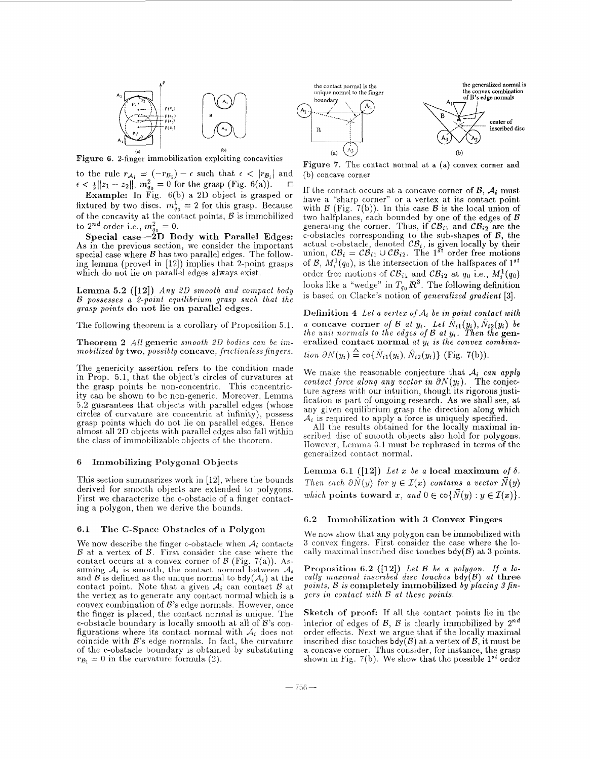

(a) l<br>**Figure 6.** 2-finger immobilization exploiting concavities

to the rule  $r_{\mathcal{A}_1} = (-r_{\mathcal{B}_1}) - \epsilon$  such that  $\epsilon < |r_{\mathcal{B}_1}|$  and  $\epsilon < \frac{1}{2}[z_1 - z_2]|$ ,  $m_{\theta_2}^2 = 0$  for the grasp (Fig. 6(a)).  $\epsilon < \frac{1}{2} ||z_1 - z_2||$ ,  $m_{q_0}^2 = 0$  for the grasp (Fig. 6(a)).

Example: In Fig. 6(b) a 2D object is grasped or fixtured by two discs.  $m_{q_0}^1 = 2$  for this grasp. Because of the concavity at the contact points, *B* is immobilized to  $2^{nd}$  order i.e.,  $m_{q_0}^2 = 0$ .

Special case-2D **Body** with Parallel Edges: **As** in the previous section, we consider the important special case where  $\beta$  has two parallel edges. The following lemma (proved in [12]) implies that 2-point grasps which do not lie on parallel edges always exist.

Lemma *5.2* **([12])** *Any 20 smooth and compact body 8 possesses a 2-point equilibriuni grasp such that the grasp points* do riot lie **on** parallel edges.

The following theorem is a corollary of Proposition 5.1.

Theorem *2 All* generic *smooth 2D bodies can be immobilized by* **two**, *possibly* **concave**, *frictionless fingers.* 

The genericity assertion refers to the condition made in Prop. 5.1, that the object's circles of curvatures at the grasp points be non-concentric. This concentricity can be shown to be non-generic. Moreover, Lemma 5.2 guarantees that objects with parallel edges (whose circles of curvature are concentric at infinity), possess grasp points which do not lie on parallel edges. Hence almost all 2D objects with parallel edges also fall within the class of immobilizable objects of the theorem.

### 6 **Immobilizing Polygonal** Objects

This section summarizes work in [12], where the bounds derived for smooth objects are extended to polygons. First we characterize the c-obstacle of a finger contacting a polygon, then we derive the bounds.

## 6.1 **The** C-Space Obstacles of a Polygon

We now describe the finger c-obstacle when *Ai* contacts *B* at a vertex of *B*. First consider the case where the contact occurs at a convex corner of *B* (Fig. 7(a)). *hs*suming  $A_i$  is smooth, the contact normal between  $A_i$ and  $\mathcal B$  is defined as the unique normal to bdy( $\mathcal A_i$ ) at the contact point. Note that a given *Ai* can contact *B* at the vertex as to generate any contact normal which is a convex combination of  $B$ 's edge normals. However, once the finger is placed, the contact normal is unique. The c-obstacle boundary is locally smooth at all of *B*'s configurations where its contact normal with  $A_i$  does not coincide with  $B$ 's edge normals. In fact, the curvature of the c-obstacle boundary is obtained by substituting  $r_{\mathcal{B}_i} = 0$  in the curvature formula (2).



**Figure 7.** The contact normal at a **(a)** convex corner **and**  (b) concave corner

If the contact occurs at a concave corner of  $\mathcal{B}$ ,  $\mathcal{A}_i$  must have a "sharp corner" or a vertex at its contact point with  $\mathcal{B}$  (Fig. 7(b)). In this case  $\mathcal{B}$  is the local union of two halfplanes, each bounded by one of the edges of *B* generating the corner. Thus, if  $CB_{i1}$  and  $CB_{i2}$  are the c-obstacles corresponding to the sub-shapes of *B,* the actual c-obstacle, denoted  $CB_i$ , is given locally by their union,  $CB_i = CB_{i1} \cup CB_{i2}$ . The 1<sup>st</sup> order free motions of *B*,  $M_i^1(q_0)$ , is the intersection of the halfspaces of  $1^{st}$ order free motions of  $\mathcal{CB}_{i1}$  and  $\mathcal{CB}_{i2}$  at  $q_0$  i.e.,  $M_i^1(q_0)$ looks like a "wedge" in  $T_{q_0} \, \mathbb{R}^3$ . The following definition is based on Clarke's notion of *generalized gradient* [3].

Definition 4 Let a vertex of  $A_i$  be in point contact with *a* concave corner *of B at y<sub>i</sub>*. Let  $\hat{N}_{i1}(y_i)$ ,  $\hat{N}_{i2}(y_i)$  be *the unit normals to the edges of B at y<sub>i</sub>*. Then the gen- $\epsilon$  eralized contact normal *at*  $y_i$  *is the convex combination*  $\partial N(y_i) \stackrel{\Delta}{=} \text{co}\{\hat{N}_{i1}(y_i), \hat{N}_{i2}(y_i)\}$  (Fig. 7(b)).

We make the reasonable conjecture that *A; can apply contact force along any vector in*  $\partial N(y_i)$ . The conjecture agrees with our intuition, though its rigorous justification is part of ongoing research. **As** we shall see, at any given equilibrium grasp the direction along which  $A_i$  is required to apply a force is uniquely specified.

**All** the results obtained for the locally maximal inscribed disc of smooth objects also hold for polygons. However, Lemma 3.1 must be rephrased in terms of the generalized contact normal.

Lemma 6.1 ([12]) Let *x* be a local maximum of  $\delta$ . *Then each*  $\partial N(y)$  *for*  $y \in I(x)$  *contains a vector*  $\dot{N}(y)$ *which* points toward *x*, and  $0 \in \text{co}\{\overline{N}(y) : y \in \mathcal{I}(x)\}.$ 

## **6.2** Irninobilizatiori with **3** Convex Fingers

We now show that any polygon can be immobilized with *3* convex fingers. First consider the case where the locally maximal inscribed disc touches  $\text{bdy}(\mathcal{B})$  at 3 points.

Proposition 6.2 ([12]) Let B be a polygon. If a lo- $\lceil \text{cally maximal} \rceil$  *inscribed disc touches*  $\mathsf{bdy}(\mathcal{B})$  *at three points, B is completely immobilized by placing 3 fingers in contact with* B *at these points.* 

Sketch of proof: If all the contact points lie in the interior of edges of  $\mathcal{B}$ ,  $\mathcal{B}$  is clearly immobilized by  $2^{nd}$ order effects. Next we argue that if the locally maximal inscribed disc touches  $\text{bdy}(\mathcal{B})$  at a vertex of  $\mathcal{B}$ , it must be a concave corner. Thus consider, for instance, the grasp shown in Fig. 7(b). We show that the possible  $1^{st}$  order